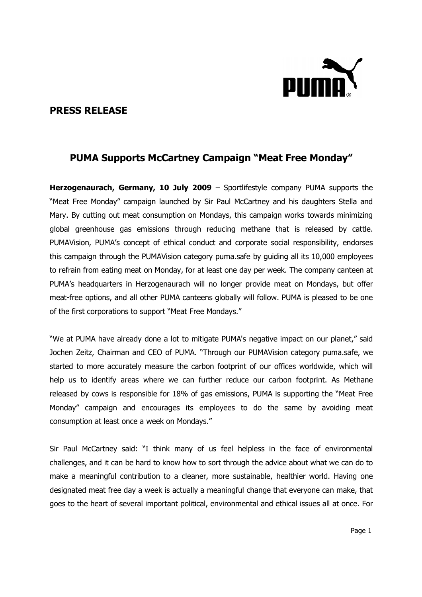

## PRESS RELEASE

## PUMA Supports McCartney Campaign "Meat Free Monday"

Herzogenaurach, Germany, 10 July 2009 – Sportlifestyle company PUMA supports the "Meat Free Monday" campaign launched by Sir Paul McCartney and his daughters Stella and Mary. By cutting out meat consumption on Mondays, this campaign works towards minimizing global greenhouse gas emissions through reducing methane that is released by cattle. PUMAVision, PUMA's concept of ethical conduct and corporate social responsibility, endorses this campaign through the PUMAVision category puma.safe by guiding all its 10,000 employees to refrain from eating meat on Monday, for at least one day per week. The company canteen at PUMA's headquarters in Herzogenaurach will no longer provide meat on Mondays, but offer meat-free options, and all other PUMA canteens globally will follow. PUMA is pleased to be one of the first corporations to support "Meat Free Mondays."

"We at PUMA have already done a lot to mitigate PUMA's negative impact on our planet," said Jochen Zeitz, Chairman and CEO of PUMA. "Through our PUMAVision category puma.safe, we started to more accurately measure the carbon footprint of our offices worldwide, which will help us to identify areas where we can further reduce our carbon footprint. As Methane released by cows is responsible for 18% of gas emissions, PUMA is supporting the "Meat Free Monday" campaign and encourages its employees to do the same by avoiding meat consumption at least once a week on Mondays."

Sir Paul McCartney said: "I think many of us feel helpless in the face of environmental challenges, and it can be hard to know how to sort through the advice about what we can do to make a meaningful contribution to a cleaner, more sustainable, healthier world. Having one designated meat free day a week is actually a meaningful change that everyone can make, that goes to the heart of several important political, environmental and ethical issues all at once. For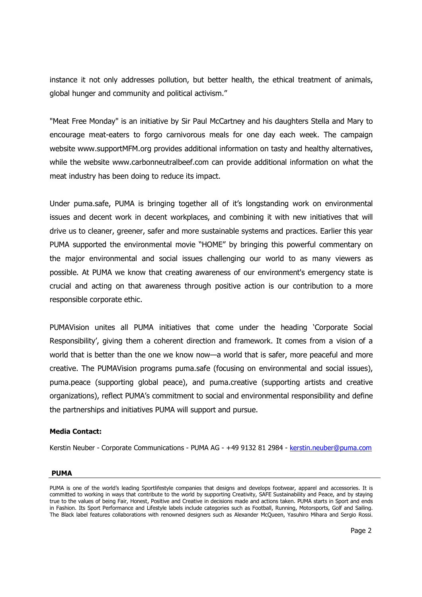instance it not only addresses pollution, but better health, the ethical treatment of animals, global hunger and community and political activism."

"Meat Free Monday" is an initiative by Sir Paul McCartney and his daughters Stella and Mary to encourage meat-eaters to forgo carnivorous meals for one day each week. The campaign website www.supportMFM.org provides additional information on tasty and healthy alternatives, while the website www.carbonneutralbeef.com can provide additional information on what the meat industry has been doing to reduce its impact.

Under puma.safe, PUMA is bringing together all of it's longstanding work on environmental issues and decent work in decent workplaces, and combining it with new initiatives that will drive us to cleaner, greener, safer and more sustainable systems and practices. Earlier this year PUMA supported the environmental movie "HOME" by bringing this powerful commentary on the major environmental and social issues challenging our world to as many viewers as possible. At PUMA we know that creating awareness of our environment's emergency state is crucial and acting on that awareness through positive action is our contribution to a more responsible corporate ethic.

PUMAVision unites all PUMA initiatives that come under the heading 'Corporate Social Responsibility', giving them a coherent direction and framework. It comes from a vision of a world that is better than the one we know now—a world that is safer, more peaceful and more creative. The PUMAVision programs puma.safe (focusing on environmental and social issues), puma.peace (supporting global peace), and puma.creative (supporting artists and creative organizations), reflect PUMA's commitment to social and environmental responsibility and define the partnerships and initiatives PUMA will support and pursue.

## Media Contact:

Kerstin Neuber - Corporate Communications - PUMA AG - +49 9132 81 2984 - kerstin.neuber@puma.com

## PUMA

PUMA is one of the world's leading Sportlifestyle companies that designs and develops footwear, apparel and accessories. It is committed to working in ways that contribute to the world by supporting Creativity, SAFE Sustainability and Peace, and by staying true to the values of being Fair, Honest, Positive and Creative in decisions made and actions taken. PUMA starts in Sport and ends in Fashion. Its Sport Performance and Lifestyle labels include categories such as Football, Running, Motorsports, Golf and Sailing. The Black label features collaborations with renowned designers such as Alexander McQueen, Yasuhiro Mihara and Sergio Rossi.